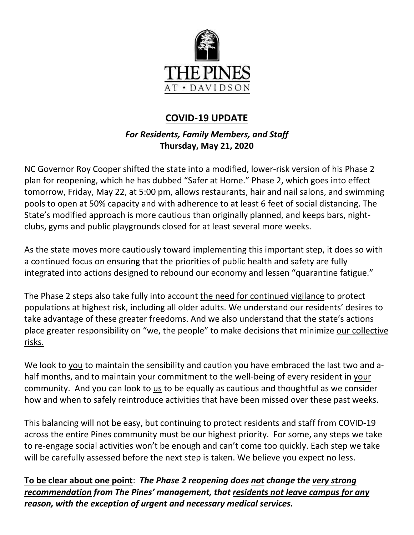

## **COVID-19 UPDATE**

## *For Residents, Family Members, and Staff* **Thursday, May 21, 2020**

NC Governor Roy Cooper shifted the state into a modified, lower-risk version of his Phase 2 plan for reopening, which he has dubbed "Safer at Home." Phase 2, which goes into effect tomorrow, Friday, May 22, at 5:00 pm, allows restaurants, hair and nail salons, and swimming pools to open at 50% capacity and with adherence to at least 6 feet of social distancing. The State's modified approach is more cautious than originally planned, and keeps bars, nightclubs, gyms and public playgrounds closed for at least several more weeks.

As the state moves more cautiously toward implementing this important step, it does so with a continued focus on ensuring that the priorities of public health and safety are fully integrated into actions designed to rebound our economy and lessen "quarantine fatigue."

The Phase 2 steps also take fully into account the need for continued vigilance to protect populations at highest risk, including all older adults. We understand our residents' desires to take advantage of these greater freedoms. And we also understand that the state's actions place greater responsibility on "we, the people" to make decisions that minimize our collective risks.

We look to you to maintain the sensibility and caution you have embraced the last two and ahalf months, and to maintain your commitment to the well-being of every resident in your community. And you can look to us to be equally as cautious and thoughtful as we consider how and when to safely reintroduce activities that have been missed over these past weeks.

This balancing will not be easy, but continuing to protect residents and staff from COVID-19 across the entire Pines community must be our highest priority. For some, any steps we take to re-engage social activities won't be enough and can't come too quickly. Each step we take will be carefully assessed before the next step is taken. We believe you expect no less.

**To be clear about one point**: *The Phase 2 reopening does not change the very strong recommendation from The Pines' management, that residents not leave campus for any reason, with the exception of urgent and necessary medical services.*